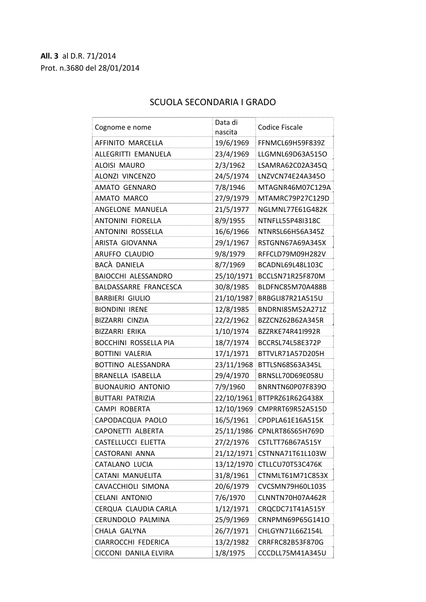## **All. 3** al D.R. 71/2014 Prot. n.3680 del 28/01/2014

| Cognome e nome               | Data di    | <b>Codice Fiscale</b>       |
|------------------------------|------------|-----------------------------|
|                              | nascita    |                             |
| AFFINITO MARCELLA            | 19/6/1969  | FFNMCL69H59F839Z            |
| ALLEGRITTI EMANUELA          | 23/4/1969  | LLGMNL69D63A515O            |
| <b>ALOISI MAURO</b>          | 2/3/1962   | LSAMRA62C02A345Q            |
| ALONZI VINCENZO              | 24/5/1974  | LNZVCN74E24A345O            |
| <b>AMATO GENNARO</b>         | 7/8/1946   | MTAGNR46M07C129A            |
| AMATO MARCO                  | 27/9/1979  | MTAMRC79P27C129D            |
| ANGELONE MANUELA             | 21/5/1977  | NGLMNL77E61G482K            |
| <b>ANTONINI FIORELLA</b>     | 8/9/1955   | NTNFLL55P48I318C            |
| <b>ANTONINI ROSSELLA</b>     | 16/6/1966  | NTNRSL66H56A345Z            |
| ARISTA GIOVANNA              | 29/1/1967  | RSTGNN67A69A345X            |
| ARUFFO CLAUDIO               | 9/8/1979   | RFFCLD79M09H282V            |
| BACA DANIELA                 | 8/7/1969   | BCADNL69L48L103C            |
| <b>BAIOCCHI ALESSANDRO</b>   | 25/10/1971 | BCCLSN71R25F870M            |
| BALDASSARRE FRANCESCA        | 30/8/1985  | BLDFNC85M70A488B            |
| <b>BARBIERI GIULIO</b>       | 21/10/1987 | BRBGLI87R21A515U            |
| <b>BIONDINI IRENE</b>        | 12/8/1985  | BNDRNI85M52A271Z            |
| <b>BIZZARRI CINZIA</b>       | 22/2/1962  | BZZCNZ62B62A345R            |
| BIZZARRI ERIKA               | 1/10/1974  | BZZRKE74R41I992R            |
| <b>BOCCHINI ROSSELLA PIA</b> | 18/7/1974  | BCCRSL74L58E372P            |
| <b>BOTTINI VALERIA</b>       | 17/1/1971  | BTTVLR71A57D205H            |
| BOTTINO ALESSANDRA           | 23/11/1968 | BTTLSN68S63A345L            |
| BRANELLA ISABELLA            | 29/4/1970  | BRNSLL70D69E058U            |
| <b>BUONAURIO ANTONIO</b>     | 7/9/1960   | BNRNTN60P07F839O            |
| <b>BUTTARI PATRIZIA</b>      |            | 22/10/1961 BTTPRZ61R62G438X |
| <b>CAMPI ROBERTA</b>         | 12/10/1969 | CMPRRT69R52A515D            |
| CAPODACQUA PAOLO             | 16/5/1961  | CPDPLA61E16A515K            |
| <b>CAPONETTI ALBERTA</b>     | 25/11/1986 | CPNLRT86S65H769D            |
| CASTELLUCCI ELIETTA          | 27/2/1976  | CSTLTT76B67A515Y            |
| CASTORANI ANNA               | 21/12/1971 | CSTNNA71T61L103W            |
| CATALANO LUCIA               | 13/12/1970 | CTLLCU70T53C476K            |
| CATANI MANUELITA             | 31/8/1961  | CTNMLT61M71C853X            |
| CAVACCHIOLI SIMONA           | 20/6/1979  | CVCSMN79H60L103S            |
| <b>CELANI ANTONIO</b>        | 7/6/1970   | CLNNTN70H07A462R            |
| CERQUA CLAUDIA CARLA         | 1/12/1971  | CRQCDC71T41A515Y            |
| CERUNDOLO PALMINA            | 25/9/1969  | CRNPMN69P65G141O            |
| CHALA GALYNA                 | 26/7/1971  | CHLGYN71L66Z154L            |
| CIARROCCHI FEDERICA          | 13/2/1982  | CRRFRC82B53F870G            |
| CICCONI DANILA ELVIRA        | 1/8/1975   | CCCDLL75M41A345U            |

## SCUOLA SECONDARIA I GRADO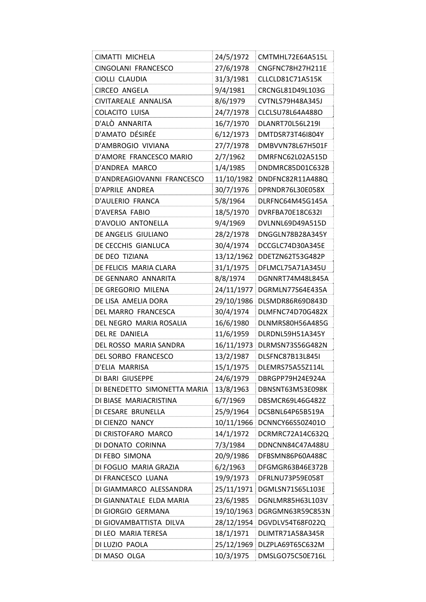| CIMATTI MICHELA              | 24/5/1972  | CMTMHL72E64A515L            |
|------------------------------|------------|-----------------------------|
| CINGOLANI FRANCESCO          | 27/6/1978  | CNGFNC78H27H211E            |
| CIOLLI CLAUDIA               | 31/3/1981  | CLLCLD81C71A515K            |
| <b>CIRCEO ANGELA</b>         | 9/4/1981   | CRCNGL81D49L103G            |
| CIVITAREALE ANNALISA         | 8/6/1979   | CVTNLS79H48A345J            |
| <b>COLACITO LUISA</b>        | 24/7/1978  | CLCLSU78L64A488O            |
| D'ALÒ ANNARITA               | 16/7/1970  | DLANRT70L56L219I            |
| D'AMATO DÉSIRÉE              | 6/12/1973  | DMTDSR73T46I804Y            |
| D'AMBROGIO VIVIANA           | 27/7/1978  | DMBVVN78L67H501F            |
| D'AMORE FRANCESCO MARIO      | 2/7/1962   | DMRFNC62L02A515D            |
| D'ANDREA MARCO               | 1/4/1985   | DNDMRC85D01C632B            |
| D'ANDREAGIOVANNI FRANCESCO   |            | 11/10/1982 DNDFNC82R11A488Q |
| D'APRILE ANDREA              | 30/7/1976  | DPRNDR76L30E058X            |
| D'AULERIO FRANCA             | 5/8/1964   | DLRFNC64M45G145A            |
| D'AVERSA FABIO               | 18/5/1970  | DVRFBA70E18C632I            |
| D'AVOLIO ANTONELLA           | 9/4/1969   | DVLNNL69D49A515D            |
| DE ANGELIS GIULIANO          | 28/2/1978  | DNGGLN78B28A345Y            |
| DE CECCHIS GIANLUCA          | 30/4/1974  | DCCGLC74D30A345E            |
| DE DEO TIZIANA               |            | 13/12/1962 DDETZN62T53G482P |
| DE FELICIS MARIA CLARA       | 31/1/1975  | DFLMCL75A71A345U            |
| DE GENNARO ANNARITA          | 8/8/1974   | DGNNRT74M48L845A            |
| DE GREGORIO MILENA           | 24/11/1977 | DGRMLN77S64E435A            |
| DE LISA AMELIA DORA          | 29/10/1986 | DLSMDR86R69D843D            |
| DEL MARRO FRANCESCA          | 30/4/1974  | DLMFNC74D70G482X            |
| DEL NEGRO MARIA ROSALIA      | 16/6/1980  | DLNMRS80H56A485G            |
| <b>DEL RE DANIELA</b>        | 11/6/1959  | DLRDNL59H51A345Y            |
| DEL ROSSO MARIA SANDRA       |            | 16/11/1973 DLRMSN73S56G482N |
| <b>DEL SORBO FRANCESCO</b>   | 13/2/1987  | DLSFNC87B13L845I            |
| D'ELIA MARRISA               | 15/1/1975  | DLEMRS75A55Z114L            |
| DI BARI GIUSEPPE             | 24/6/1979  | DBRGPP79H24E924A            |
| DI BENEDETTO SIMONETTA MARIA | 13/8/1963  | DBNSNT63M53E098K            |
| DI BIASE MARIACRISTINA       | 6/7/1969   | DBSMCR69L46G482Z            |
| DI CESARE BRUNELLA           | 25/9/1964  | DCSBNL64P65B519A            |
| DI CIENZO NANCY              |            | 10/11/1966 DCNNCY66S50Z401O |
| DI CRISTOFARO MARCO          | 14/1/1972  | DCRMRC72A14C632Q            |
| DI DONATO CORINNA            | 7/3/1984   | DDNCNN84C47A488U            |
| DI FEBO SIMONA               | 20/9/1986  | DFBSMN86P60A488C            |
| DI FOGLIO MARIA GRAZIA       | 6/2/1963   | DFGMGR63B46E372B            |
| DI FRANCESCO LUANA           | 19/9/1973  | DFRLNU73P59E058T            |
| DI GIAMMARCO ALESSANDRA      |            | 25/11/1971 DGMLSN71S65L103E |
| DI GIANNATALE ELDA MARIA     | 23/6/1985  | DGNLMR85H63L103V            |
| DI GIORGIO GERMANA           | 19/10/1963 | DGRGMN63R59C853N            |
| DI GIOVAMBATTISTA DILVA      |            | 28/12/1954 DGVDLV54T68F022Q |
| DI LEO MARIA TERESA          | 18/1/1971  | DLIMTR71A58A345R            |
| DI LUZIO PAOLA               | 25/12/1969 | DLZPLA69T65C632M            |
| DI MASO OLGA                 | 10/3/1975  | DMSLGO75C50E716L            |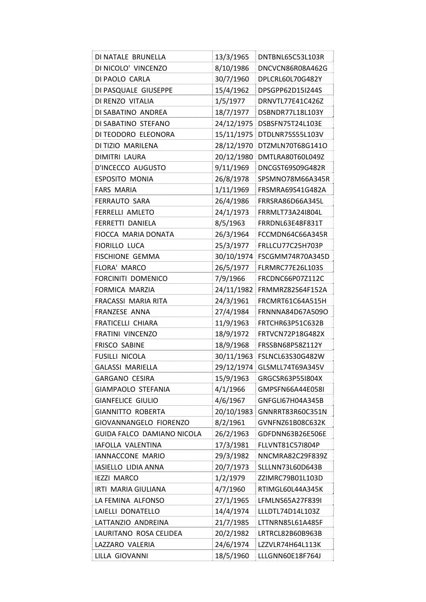| DI NATALE BRUNELLA         | 13/3/1965  | DNTBNL65C53L103R              |
|----------------------------|------------|-------------------------------|
| DI NICOLO' VINCENZO        | 8/10/1986  | DNCVCN86R08A462G              |
| DI PAOLO CARLA             | 30/7/1960  | DPLCRL60L70G482Y              |
| DI PASQUALE GIUSEPPE       | 15/4/1962  | DPSGPP62D15I244S              |
| DI RENZO VITALIA           | 1/5/1977   | DRNVTL77E41C426Z              |
| DI SABATINO ANDREA         | 18/7/1977  | DSBNDR77L18L103Y              |
| DI SABATINO STEFANO        |            | 24/12/1975 DSBSFN75T24L103E   |
| DI TEODORO ELEONORA        |            | 15/11/1975   DTDLNR75S55L103V |
| DI TIZIO MARILENA          |            | 28/12/1970 DTZMLN70T68G141O   |
| DIMITRI LAURA              |            | 20/12/1980 DMTLRA80T60L049Z   |
| D'INCECCO AUGUSTO          | 9/11/1969  | DNCGST69S09G482R              |
| ESPOSITO MONIA             | 26/8/1978  | SPSMNO78M66A345R              |
| <b>FARS MARIA</b>          | 1/11/1969  | FRSMRA69S41G482A              |
| <b>FERRAUTO SARA</b>       | 26/4/1986  | FRRSRA86D66A345L              |
| <b>FERRELLI AMLETO</b>     | 24/1/1973  | FRRMLT73A24I804L              |
| FERRETTI DANIELA           | 8/5/1963   | FRRDNL63E48F831T              |
| FIOCCA MARIA DONATA        | 26/3/1964  | FCCMDN64C66A345R              |
| <b>FIORILLO LUCA</b>       | 25/3/1977  | FRLLCU77C25H703P              |
| <b>FISCHIONE GEMMA</b>     |            | 30/10/1974 FSCGMM74R70A345D   |
| FLORA' MARCO               | 26/5/1977  | <b>FLRMRC77E26L103S</b>       |
| FORCINITI DOMENICO         | 7/9/1966   | FRCDNC66P07Z112C              |
| FORMICA MARZIA             |            | 24/11/1982 FRMMRZ82S64F152A   |
| FRACASSI MARIA RITA        | 24/3/1961  | FRCMRT61C64A515H              |
| FRANZESE ANNA              | 27/4/1984  | FRNNNA84D67A509O              |
| FRATICELLI CHIARA          | 11/9/1963  | FRTCHR63P51C632B              |
| FRATINI VINCENZO           | 18/9/1972  | FRTVCN72P18G482X              |
| <b>FRISCO SABINE</b>       | 18/9/1968  | FRSSBN68P58Z112Y              |
| <b>FUSILLI NICOLA</b>      |            | 30/11/1963 FSLNCL63S30G482W   |
| <b>GALASSI MARIELLA</b>    |            |                               |
|                            |            | 29/12/1974 GLSMLL74T69A345V   |
| <b>GARGANO CESIRA</b>      | 15/9/1963  | GRGCSR63P55I804X              |
| GIAMPAOLO STEFANIA         | 4/1/1966   | GMPSFN66A44E058I              |
| <b>GIANFELICE GIULIO</b>   | 4/6/1967   | GNFGLI67H04A345B              |
| <b>GIANNITTO ROBERTA</b>   | 20/10/1983 | GNNRRT83R60C351N              |
| GIOVANNANGELO FIORENZO     | 8/2/1961   | GVNFNZ61B08C632K              |
| GUIDA FALCO DAMIANO NICOLA | 26/2/1963  | GDFDNN63B26E506E              |
| IAFOLLA VALENTINA          | 17/3/1981  | FLLVNT81C57I804P              |
| IANNACCONE MARIO           | 29/3/1982  | NNCMRA82C29F839Z              |
| IASIELLO LIDIA ANNA        | 20/7/1973  | SLLLNN73L60D643B              |
| <b>IEZZI MARCO</b>         | 1/2/1979   | ZZIMRC79B01L103D              |
| IRTI MARIA GIULIANA        | 4/7/1960   | RTIMGL60L44A345K              |
| LA FEMINA ALFONSO          | 27/1/1965  | LFMLNS65A27F839I              |
| LAIELLI DONATELLO          | 14/4/1974  | LLLDTL74D14L103Z              |
| LATTANZIO ANDREINA         | 21/7/1985  | LTTNRN85L61A485F              |
| LAURITANO ROSA CELIDEA     | 20/2/1982  | LRTRCL82B60B963B              |
| LAZZARO VALERIA            | 24/6/1974  | LZZVLR74H64L113K              |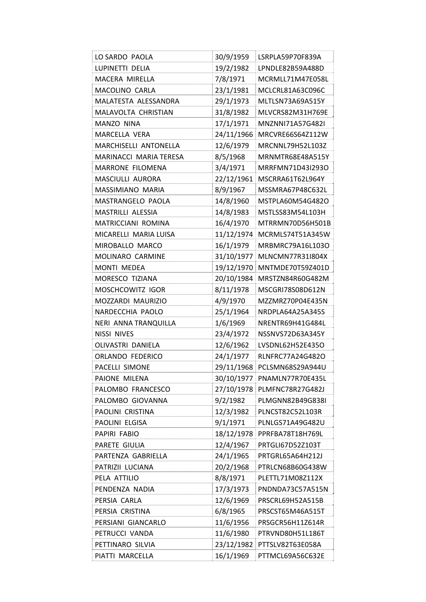| LO SARDO PAOLA          | 30/9/1959  | LSRPLA59P70F839A            |
|-------------------------|------------|-----------------------------|
| LUPINETTI DELIA         | 19/2/1982  | LPNDLE82B59A488D            |
| MACERA MIRELLA          | 7/8/1971   | MCRMLL71M47E058L            |
| <b>MACOLINO CARLA</b>   | 23/1/1981  | MCLCRL81A63C096C            |
| MALATESTA ALESSANDRA    | 29/1/1973  | MLTLSN73A69A515Y            |
| MALAVOLTA CHRISTIAN     | 31/8/1982  | MLVCRS82M31H769E            |
| MANZO NINA              | 17/1/1971  | MNZNNI71A57G482I            |
| <b>MARCELLA VERA</b>    | 24/11/1966 | MRCVRE66S64Z112W            |
| MARCHISELLI ANTONELLA   | 12/6/1979  | MRCNNL79H52L103Z            |
| MARINACCI MARIA TERESA  | 8/5/1968   | MRNMTR68E48A515Y            |
| <b>MARRONE FILOMENA</b> | 3/4/1971   | MRRFMN71D43I2930            |
| MASCIULLI AURORA        |            | 22/12/1961 MSCRRA61T62L964Y |
| MASSIMIANO MARIA        | 8/9/1967   | MSSMRA67P48C632L            |
| MASTRANGELO PAOLA       | 14/8/1960  | MSTPLA60M54G482O            |
| MASTRILLI ALESSIA       | 14/8/1983  | MSTLSS83M54L103H            |
| MATRICCIANI ROMINA      | 16/4/1970  | MTRRMN70D56H501B            |
| MICARELLI MARIA LUISA   |            | 11/12/1974 MCRMLS74T51A345W |
| MIROBALLO MARCO         | 16/1/1979  | MRBMRC79A16L103O            |
| MOLINARO CARMINE        | 31/10/1977 | MLNCMN77R31I804X            |
| MONTI MEDEA             |            | 19/12/1970 MNTMDE70T59Z401D |
| MORESCO TIZIANA         |            | 20/10/1984 MRSTZN84R60G482M |
| MOSCHCOWITZ IGOR        | 8/11/1978  | MSCGRI78S08D612N            |
| MOZZARDI MAURIZIO       | 4/9/1970   | MZZMRZ70P04E435N            |
| NARDECCHIA PAOLO        | 25/1/1964  | NRDPLA64A25A345S            |
| NERI ANNA TRANQUILLA    | 1/6/1969   | NRENTR69H41G484L            |
| <b>NISSI NIVES</b>      | 23/4/1972  | NSSNVS72D63A345Y            |
| OLIVASTRI DANIELA       | 12/6/1962  | LVSDNL62H52E435O            |
| ORLANDO FEDERICO        | 24/1/1977  | RLNFRC77A24G482O            |
| PACELLI SIMONE          | 29/11/1968 | PCLSMN68S29A944U            |
| PAIONE MILENA           |            | 30/10/1977 PNAMLN77R70E435L |
| PALOMBO FRANCESCO       |            | 27/10/1978 PLMFNC78R27G482J |
| PALOMBO GIOVANNA        | 9/2/1982   | PLMGNN82B49G838I            |
| PAOLINI CRISTINA        | 12/3/1982  | PLNCST82C52L103R            |
| PAOLINI ELGISA          | 9/1/1971   | PLNLGS71A49G482U            |
| PAPIRI FABIO            | 18/12/1978 | PPRFBA78T18H769L            |
| PARETE GIULIA           | 12/4/1967  | PRTGLI67D52Z103T            |
| PARTENZA GABRIELLA      | 24/1/1965  | PRTGRL65A64H212J            |
| PATRIZII LUCIANA        | 20/2/1968  | PTRLCN68B60G438W            |
| PELA ATTILIO            | 8/8/1971   | PLETTL71M08Z112X            |
| PENDENZA NADIA          | 17/3/1973  | PNDNDA73C57A515N            |
| PERSIA CARLA            | 12/6/1969  | PRSCRL69H52A515B            |
| PERSIA CRISTINA         | 6/8/1965   | PRSCST65M46A515T            |
| PERSIANI GIANCARLO      | 11/6/1956  | PRSGCR56H11Z614R            |
| PETRUCCI VANDA          | 11/6/1980  | PTRVND80H51L186T            |
| PETTINARO SILVIA        | 23/12/1982 | PTTSLV82T63E058A            |
| PIATTI MARCELLA         | 16/1/1969  | PTTMCL69A56C632E            |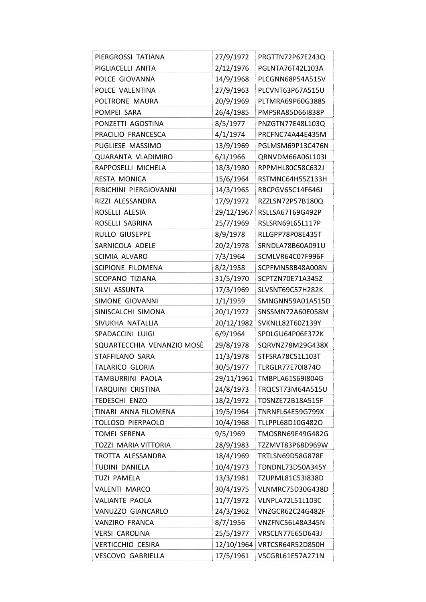| PIERGROSSI TATIANA         | 27/9/1972  | PRGTTN72P67E243Q            |
|----------------------------|------------|-----------------------------|
| PIGLIACELLI ANITA          | 2/12/1976  | PGLNTA76T42L103A            |
| POLCE GIOVANNA             | 14/9/1968  | PLCGNN68P54A515V            |
| POLCE VALENTINA            | 27/9/1963  | PLCVNT63P67A515U            |
| POLTRONE MAURA             | 20/9/1969  | PLTMRA69P60G388S            |
| POMPEI SARA                | 26/4/1985  | PMPSRA85D66I838P            |
| PONZETTI AGOSTINA          | 8/5/1977   | PNZGTN77E48L103Q            |
| PRACILIO FRANCESCA         | 4/1/1974   | PRCFNC74A44E435M            |
| PUGLIESE MASSIMO           | 13/9/1969  | PGLMSM69P13C476N            |
| <b>QUARANTA VLADIMIRO</b>  | 6/1/1966   | QRNVDM66A06L103I            |
| RAPPOSELLI MICHELA         | 18/3/1980  | RPPMHL80C58C632J            |
| RESTA MONICA               | 15/6/1964  | RSTMNC64H55Z133H            |
| RIBICHINI PIERGIOVANNI     | 14/3/1965  | RBCPGV65C14F646J            |
| RIZZI ALESSANDRA           | 17/9/1972  | RZZLSN72P57B180Q            |
| ROSELLI ALESIA             | 29/12/1967 | RSLLSA67T69G492P            |
| ROSELLI SABRINA            | 25/7/1969  | RSLSRN69L65L117P            |
| RULLO GIUSEPPE             | 8/9/1978   | RLLGPP78P08E435T            |
| SARNICOLA ADELE            | 20/2/1978  | SRNDLA78B60A091U            |
| <b>SCIMIA ALVARO</b>       | 7/3/1964   | SCMLVR64C07F996F            |
| SCIPIONE FILOMENA          | 8/2/1958   | SCPFMN58B48A008N            |
| SCOPANO TIZIANA            | 31/5/1970  | SCPTZN70E71A345Z            |
| SILVI ASSUNTA              | 17/3/1969  | SLVSNT69C57H282K            |
| SIMONE GIOVANNI            | 1/1/1959   | SMNGNN59A01A515D            |
| SINISCALCHI SIMONA         | 20/1/1972  | SNSSMN72A60E058M            |
| SIVUKHA NATALLIA           | 20/12/1982 | SVKNLL82T60Z139Y            |
| SPADACCINI LUIGI           | 6/9/1964   | SPDLGU64P06E372K            |
| SQUARTECCHIA VENANZIO MOSÈ | 29/8/1978  | SQRVNZ78M29G438X            |
| STAFFILANO SARA            | 11/3/1978  | STFSRA78C51L103T            |
| TALARICO GLORIA            | 30/5/1977  | <b>TLRGLR77E701874O</b>     |
| TAMBURRINI PAOLA           |            | 29/11/1961 TMBPLA61S69I804G |
| TARQUINI CRISTINA          | 24/8/1973  | TRQCST73M64A515U            |
| TEDESCHI ENZO              | 18/2/1972  | TDSNZE72B18A515F            |
| TINARI ANNA FILOMENA       | 19/5/1964  | <b>TNRNFL64E59G799X</b>     |
| TOLLOSO PIERPAOLO          | 10/4/1968  | TLLPPL68D10G482O            |
| <b>TOMEI SERENA</b>        | 9/5/1969   | TMOSRN69E49G482G            |
| TOZZI MARIA VITTORIA       | 28/9/1983  | TZZMVT83P68D969W            |
| TROTTA ALESSANDRA          | 18/4/1969  | TRTLSN69D58G878F            |
| TUDINI DANIELA             | 10/4/1973  | TDNDNL73D50A345Y            |
| <b>TUZI PAMELA</b>         | 13/3/1981  | TZUPML81C53I838D            |
| <b>VALENTI MARCO</b>       | 30/4/1975  | VLNMRC75D30G438D            |
| VALIANTE PAOLA             | 11/7/1972  | VLNPLA72L51L103C            |
| VANUZZO GIANCARLO          | 24/3/1962  | VNZGCR62C24G482F            |
| VANZIRO FRANCA             | 8/7/1956   | VNZFNC56L48A345N            |
| <b>VERSI CAROLINA</b>      | 25/5/1977  | VRSCLN77E65D643J            |
| <b>VERTICCHIO CESIRA</b>   | 12/10/1964 | VRTCSR64R52D850H            |
|                            |            |                             |